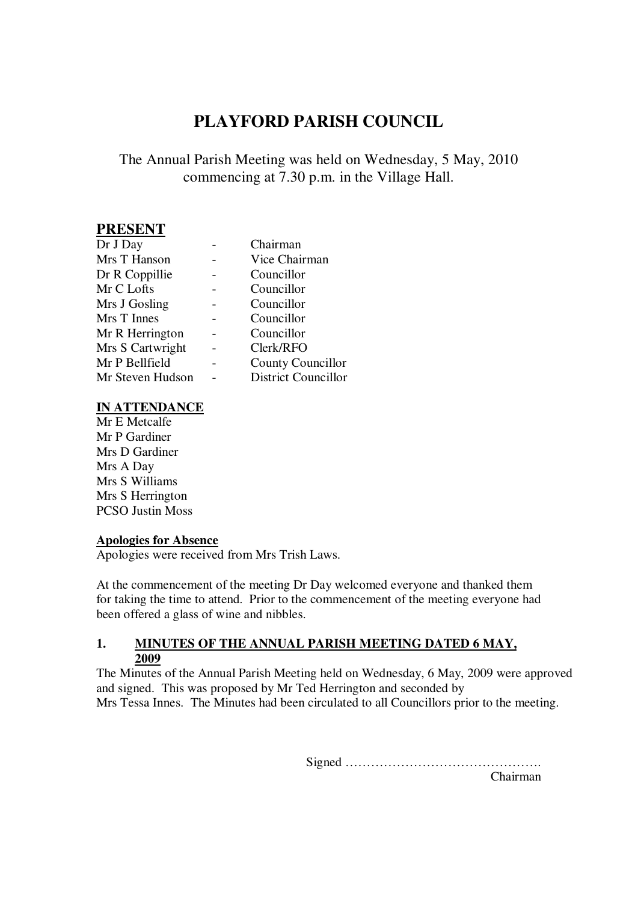# **PLAYFORD PARISH COUNCIL**

# The Annual Parish Meeting was held on Wednesday, 5 May, 2010 commencing at 7.30 p.m. in the Village Hall.

# **PRESENT**

| Dr J Day         | Chairman                   |
|------------------|----------------------------|
| Mrs T Hanson     | Vice Chairman              |
| Dr R Coppillie   | Councillor                 |
| Mr C Lofts       | Councillor                 |
| Mrs J Gosling    | Councillor                 |
| Mrs T Innes      | Councillor                 |
| Mr R Herrington  | Councillor                 |
| Mrs S Cartwright | Clerk/RFO                  |
| Mr P Bellfield   | County Councillor          |
| Mr Steven Hudson | <b>District Councillor</b> |

#### **IN ATTENDANCE**

Mr E Metcalfe Mr P Gardiner Mrs D Gardiner Mrs A Day Mrs S Williams Mrs S Herrington PCSO Justin Moss

#### **Apologies for Absence**

Apologies were received from Mrs Trish Laws.

At the commencement of the meeting Dr Day welcomed everyone and thanked them for taking the time to attend. Prior to the commencement of the meeting everyone had been offered a glass of wine and nibbles.

#### **1. MINUTES OF THE ANNUAL PARISH MEETING DATED 6 MAY, 2009**

The Minutes of the Annual Parish Meeting held on Wednesday, 6 May, 2009 were approved and signed. This was proposed by Mr Ted Herrington and seconded by Mrs Tessa Innes. The Minutes had been circulated to all Councillors prior to the meeting.

Signed ……………………………………….

Chairman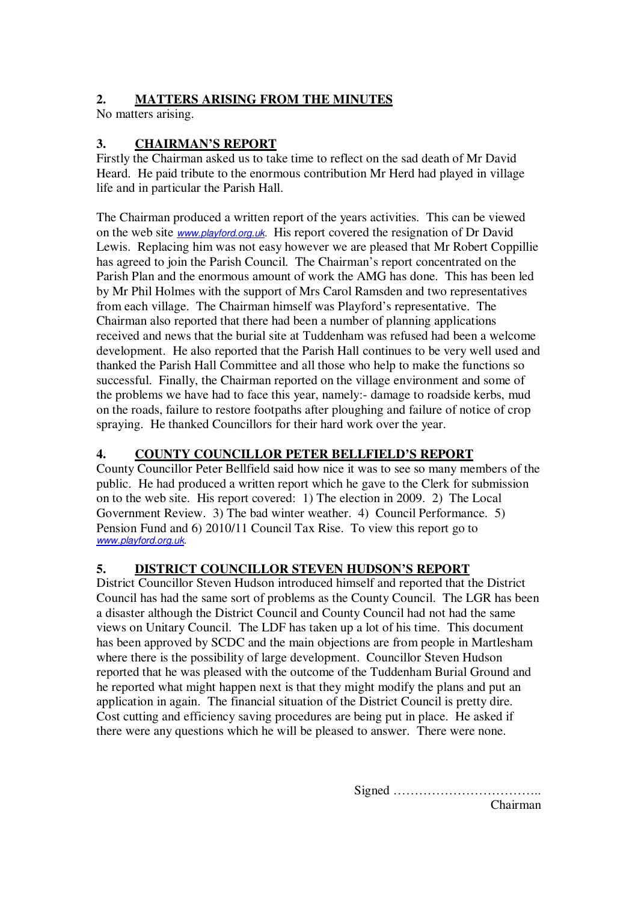## **2. MATTERS ARISING FROM THE MINUTES**

No matters arising.

# **3. CHAIRMAN'S REPORT**

Firstly the Chairman asked us to take time to reflect on the sad death of Mr David Heard. He paid tribute to the enormous contribution Mr Herd had played in village life and in particular the Parish Hall.

The Chairman produced a written report of the years activities. This can be viewed on the web site www.playford.org.uk. His report covered the resignation of Dr David Lewis. Replacing him was not easy however we are pleased that Mr Robert Coppillie has agreed to join the Parish Council. The Chairman's report concentrated on the Parish Plan and the enormous amount of work the AMG has done. This has been led by Mr Phil Holmes with the support of Mrs Carol Ramsden and two representatives from each village. The Chairman himself was Playford's representative. The Chairman also reported that there had been a number of planning applications received and news that the burial site at Tuddenham was refused had been a welcome development. He also reported that the Parish Hall continues to be very well used and thanked the Parish Hall Committee and all those who help to make the functions so successful. Finally, the Chairman reported on the village environment and some of the problems we have had to face this year, namely:- damage to roadside kerbs, mud on the roads, failure to restore footpaths after ploughing and failure of notice of crop spraying. He thanked Councillors for their hard work over the year.

## **4. COUNTY COUNCILLOR PETER BELLFIELD'S REPORT**

County Councillor Peter Bellfield said how nice it was to see so many members of the public. He had produced a written report which he gave to the Clerk for submission on to the web site. His report covered: 1) The election in 2009. 2) The Local Government Review. 3) The bad winter weather. 4) Council Performance. 5) Pension Fund and 6) 2010/11 Council Tax Rise. To view this report go to www.playford.org.uk.

## **5. DISTRICT COUNCILLOR STEVEN HUDSON'S REPORT**

District Councillor Steven Hudson introduced himself and reported that the District Council has had the same sort of problems as the County Council. The LGR has been a disaster although the District Council and County Council had not had the same views on Unitary Council. The LDF has taken up a lot of his time. This document has been approved by SCDC and the main objections are from people in Martlesham where there is the possibility of large development. Councillor Steven Hudson reported that he was pleased with the outcome of the Tuddenham Burial Ground and he reported what might happen next is that they might modify the plans and put an application in again. The financial situation of the District Council is pretty dire. Cost cutting and efficiency saving procedures are being put in place. He asked if there were any questions which he will be pleased to answer. There were none.

Signed ……………………………..

Chairman